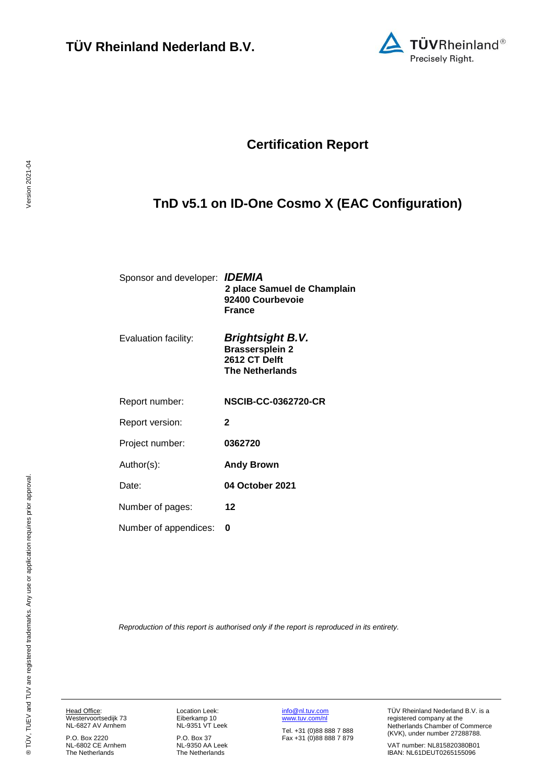

## **Certification Report**

# <span id="page-0-4"></span><span id="page-0-3"></span>**TnD v5.1 on ID-One Cosmo X (EAC Configuration)**

<span id="page-0-1"></span><span id="page-0-0"></span>

| Sponsor and developer: <b>IDEMIA</b> | 2 place Samuel de Champlain<br>92400 Courbevoie<br><b>France</b>                             |
|--------------------------------------|----------------------------------------------------------------------------------------------|
| Evaluation facility:                 | <b>Brightsight B.V.</b><br><b>Brassersplein 2</b><br>2612 CT Delft<br><b>The Netherlands</b> |
| Report number:                       | <b>NSCIB-CC-0362720-CR</b>                                                                   |
| Report version:                      | $\mathbf{2}$                                                                                 |
| Project number:                      | 0362720                                                                                      |
| Author(s):                           | <b>Andy Brown</b>                                                                            |
| Date:                                | 04 October 2021                                                                              |
| Number of pages:                     | 12                                                                                           |
| Number of appendices:                | n                                                                                            |
|                                      |                                                                                              |

<span id="page-0-2"></span>*Reproduction of this report is authorised only if the report is reproduced in its entirety.*

Head Office: Westervoortsedijk 73 NL-6827 AV Arnhem

P.O. Box 2220 NL-6802 CE Arnhem The Netherlands Location Leek: Eiberkamp 10 NL-9351 VT Leek

P.O. Box 37 NL-9350 AA Leek The Netherlands [info@nl.tuv.com](mailto:info@nl.tuv.com) [www.tuv.com/nl](http://www.tuv.com/nl)

Tel. +31 (0)88 888 7 888 Fax +31 (0)88 888 7 879 TÜV Rheinland Nederland B.V. is a registered company at the Netherlands Chamber of Commerce (KVK), under number 27288788.

VAT number: NL815820380B01 IBAN: NL61DEUT0265155096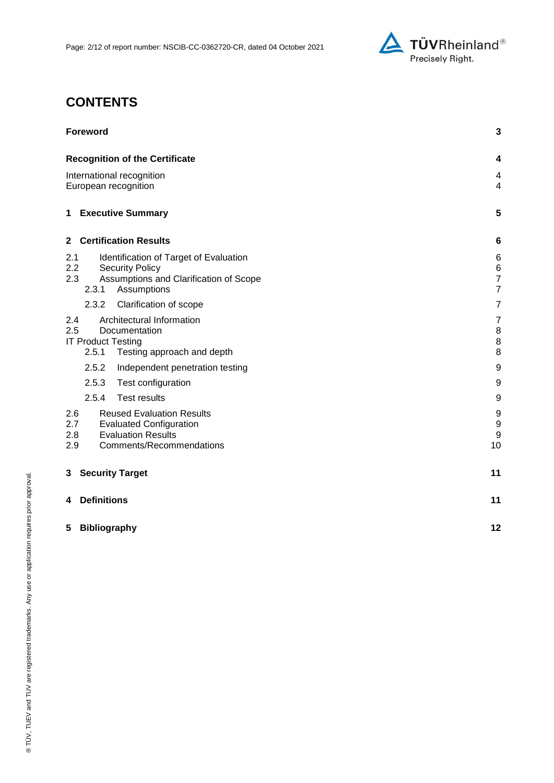

# **CONTENTS**

| <b>Foreword</b>                                                                                                                                         | 3                                              |
|---------------------------------------------------------------------------------------------------------------------------------------------------------|------------------------------------------------|
| <b>Recognition of the Certificate</b>                                                                                                                   | 4                                              |
| International recognition<br>European recognition                                                                                                       | 4<br>$\overline{4}$                            |
| 1 Executive Summary                                                                                                                                     | 5                                              |
| <b>Certification Results</b><br>$\mathbf{2}$                                                                                                            | 6                                              |
| 2.1<br>Identification of Target of Evaluation<br>2.2<br><b>Security Policy</b><br>2.3<br>Assumptions and Clarification of Scope<br>2.3.1<br>Assumptions | 6<br>$\,6$<br>$\overline{7}$<br>$\overline{7}$ |
| 2.3.2<br>Clarification of scope                                                                                                                         | 7                                              |
| Architectural Information<br>2.4<br>2.5<br>Documentation<br><b>IT Product Testing</b><br>2.5.1<br>Testing approach and depth                            | $\overline{7}$<br>8<br>8<br>8                  |
| 2.5.2<br>Independent penetration testing                                                                                                                | 9                                              |
| 2.5.3<br>Test configuration                                                                                                                             | 9                                              |
| 2.5.4<br><b>Test results</b>                                                                                                                            | 9                                              |
| 2.6<br><b>Reused Evaluation Results</b><br>2.7<br><b>Evaluated Configuration</b><br><b>Evaluation Results</b><br>2.8<br>Comments/Recommendations<br>2.9 | 9<br>9<br>9<br>10                              |
| <b>Security Target</b><br>3                                                                                                                             | 11                                             |
| <b>Definitions</b><br>4                                                                                                                                 | 11                                             |
| 5<br><b>Bibliography</b>                                                                                                                                | 12                                             |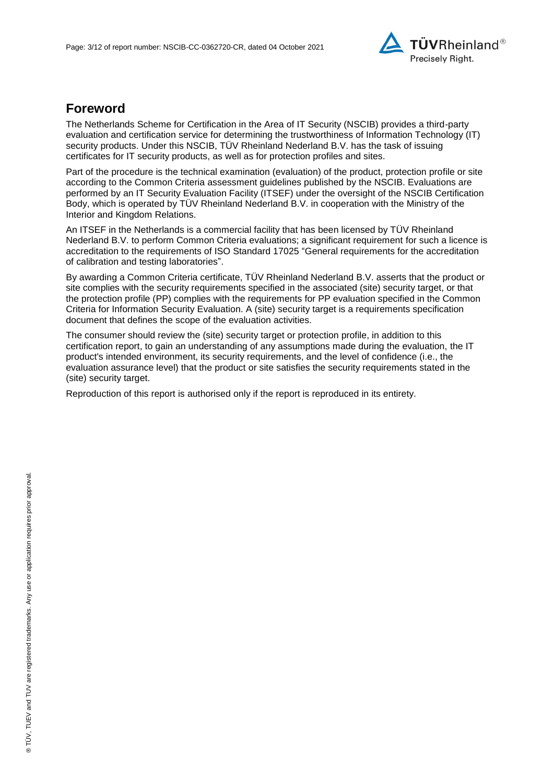

## **Foreword**

The Netherlands Scheme for Certification in the Area of IT Security (NSCIB) provides a third-party evaluation and certification service for determining the trustworthiness of Information Technology (IT) security products. Under this NSCIB, TÜV Rheinland Nederland B.V. has the task of issuing certificates for IT security products, as well as for protection profiles and sites.

Part of the procedure is the technical examination (evaluation) of the product, protection profile or site according to the Common Criteria assessment guidelines published by the NSCIB. Evaluations are performed by an IT Security Evaluation Facility (ITSEF) under the oversight of the NSCIB Certification Body, which is operated by TÜV Rheinland Nederland B.V. in cooperation with the Ministry of the Interior and Kingdom Relations.

An ITSEF in the Netherlands is a commercial facility that has been licensed by TÜV Rheinland Nederland B.V. to perform Common Criteria evaluations; a significant requirement for such a licence is accreditation to the requirements of ISO Standard 17025 "General requirements for the accreditation of calibration and testing laboratories".

By awarding a Common Criteria certificate, TÜV Rheinland Nederland B.V. asserts that the product or site complies with the security requirements specified in the associated (site) security target, or that the protection profile (PP) complies with the requirements for PP evaluation specified in the Common Criteria for Information Security Evaluation. A (site) security target is a requirements specification document that defines the scope of the evaluation activities.

The consumer should review the (site) security target or protection profile, in addition to this certification report, to gain an understanding of any assumptions made during the evaluation, the IT product's intended environment, its security requirements, and the level of confidence (i.e., the evaluation assurance level) that the product or site satisfies the security requirements stated in the (site) security target.

Reproduction of this report is authorised only if the report is reproduced in its entirety.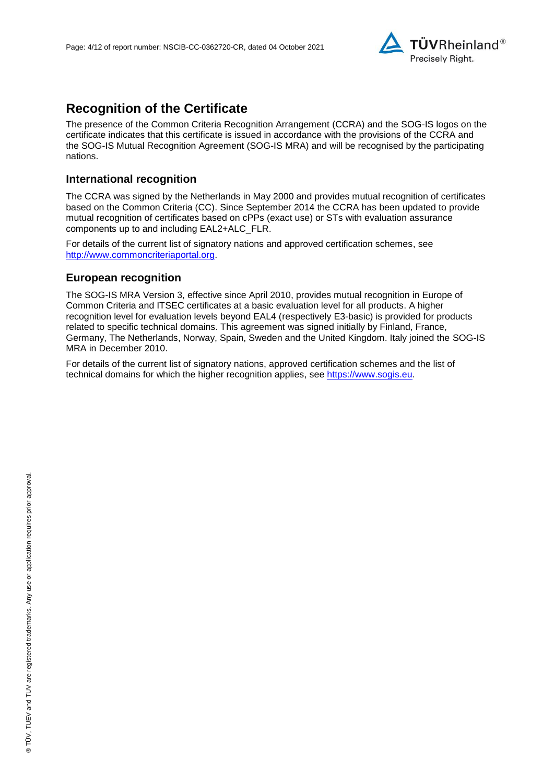

## **Recognition of the Certificate**

The presence of the Common Criteria Recognition Arrangement (CCRA) and the SOG-IS logos on the certificate indicates that this certificate is issued in accordance with the provisions of the CCRA and the SOG-IS Mutual Recognition Agreement (SOG-IS MRA) and will be recognised by the participating nations.

#### **International recognition**

The CCRA was signed by the Netherlands in May 2000 and provides mutual recognition of certificates based on the Common Criteria (CC). Since September 2014 the CCRA has been updated to provide mutual recognition of certificates based on cPPs (exact use) or STs with evaluation assurance components up to and including EAL2+ALC\_FLR.

For details of the current list of signatory nations and approved certification schemes, see [http://www.commoncriteriaportal.org.](http://www.commoncriteriaportal.org/)

#### **European recognition**

The SOG-IS MRA Version 3, effective since April 2010, provides mutual recognition in Europe of Common Criteria and ITSEC certificates at a basic evaluation level for all products. A higher recognition level for evaluation levels beyond EAL4 (respectively E3-basic) is provided for products related to specific technical domains. This agreement was signed initially by Finland, France, Germany, The Netherlands, Norway, Spain, Sweden and the United Kingdom. Italy joined the SOG-IS MRA in December 2010.

For details of the current list of signatory nations, approved certification schemes and the list of technical domains for which the higher recognition applies, see [https://www.sogis.eu.](https://www.sogis.eu/)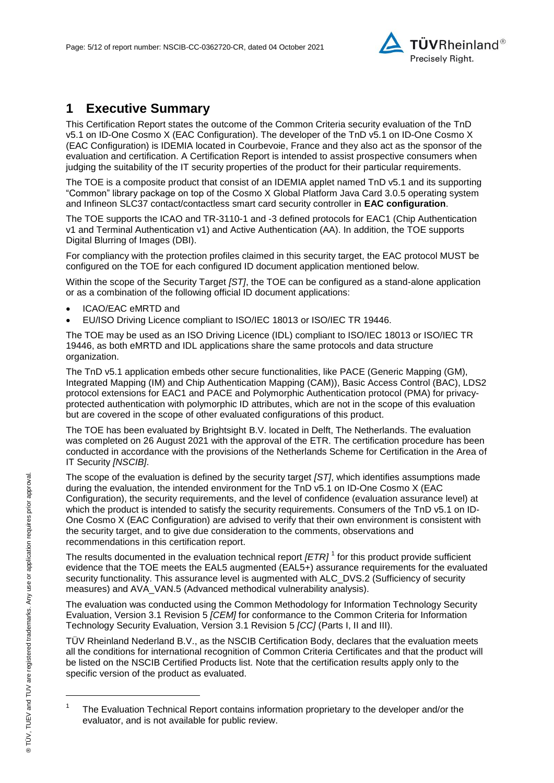

## **1 Executive Summary**

<span id="page-4-2"></span>This Certification Report states the outcome of the Common Criteria security evaluation of the [TnD](#page-0-3)  [v5.1 on ID-One Cosmo X \(EAC Configuration\).](#page-0-3) The developer of the [TnD v5.1 on ID-One Cosmo X](#page-0-3)  [\(EAC Configuration\)](#page-0-3) is [IDEMIA](#page-0-4) located in Courbevoie, France and they also act as the sponsor of the evaluation and certification. A Certification Report is intended to assist prospective consumers when judging the suitability of the IT security properties of the product for their particular requirements.

The TOE is a composite product that consist of an IDEMIA applet named TnD v5.1 and its supporting "Common" library package on top of the Cosmo X Global Platform Java Card 3.0.5 operating system and Infineon SLC37 contact/contactless smart card security controller in **EAC configuration**.

The TOE supports the ICAO and TR-3110-1 and -3 defined protocols for EAC1 (Chip Authentication v1 and Terminal Authentication v1) and Active Authentication (AA). In addition, the TOE supports Digital Blurring of Images (DBI).

For compliancy with the protection profiles claimed in this security target, the EAC protocol MUST be configured on the TOE for each configured ID document application mentioned below.

Within the scope of the Security Target *[ST]*, the TOE can be configured as a stand-alone application or as a combination of the following official ID document applications:

- ICAO/EAC eMRTD and
- EU/ISO Driving Licence compliant to ISO/IEC 18013 or ISO/IEC TR 19446.

The TOE may be used as an ISO Driving Licence (IDL) compliant to ISO/IEC 18013 or ISO/IEC TR 19446, as both eMRTD and IDL applications share the same protocols and data structure organization.

The TnD v5.1 application embeds other secure functionalities, like PACE (Generic Mapping (GM), Integrated Mapping (IM) and Chip Authentication Mapping (CAM)), Basic Access Control (BAC), LDS2 protocol extensions for EAC1 and PACE and Polymorphic Authentication protocol (PMA) for privacyprotected authentication with polymorphic ID attributes, which are not in the scope of this evaluation but are covered in the scope of other evaluated configurations of this product.

The TOE has been evaluated by Brightsight B.V. located in Delft, The Netherlands. The evaluation was completed on 26 August 2021 with the approval of the ETR. The certification procedure has been conducted in accordance with the provisions of the Netherlands Scheme for Certification in the Area of IT Security *[NSCIB]*.

The scope of the evaluation is defined by the security target *[ST]*, which identifies assumptions made during the evaluation, the intended environment for the [TnD v5.1 on ID-One Cosmo X \(EAC](#page-0-3)  [Configuration\),](#page-0-3) the security requirements, and the level of confidence (evaluation assurance level) at which the product is intended to satisfy the security requirements. Consumers of the [TnD v5.1 on ID-](#page-0-3)[One Cosmo X \(EAC Configuration\)](#page-0-3) are advised to verify that their own environment is consistent with the security target, and to give due consideration to the comments, observations and recommendations in this certification report.

<span id="page-4-0"></span>The results documented in the evaluation technical report *[ETR]* <sup>1</sup> for this product provide sufficient evidence that the TOE meets the EAL5 augmented (EA[L5+](#page-4-0)) assurance requirements for the evaluated security functionality. This assurance level is augmented with ALC\_DVS.2 (Sufficiency of security measures) and AVA\_VAN.5 (Advanced methodical vulnerability analysis).

<span id="page-4-1"></span>The evaluation was conducted using the Common Methodology for Information Technology Security Evaluation, Version 3.1 Revision 5 *[CEM]* for conformance to the Common Criteria for Information Technology Security Evaluation, Version 3.1 Revision [5](#page-4-1) *[CC]* (Parts I, II and III).

TÜV Rheinland Nederland B.V., as the NSCIB Certification Body, declares that the evaluation meets all the conditions for international recognition of Common Criteria Certificates and that the product will be listed on the NSCIB Certified Products list. Note that the certification results apply only to the specific version of the product as evaluated.

l

<sup>1</sup> The Evaluation Technical Report contains information proprietary to the developer and/or the evaluator, and is not available for public review.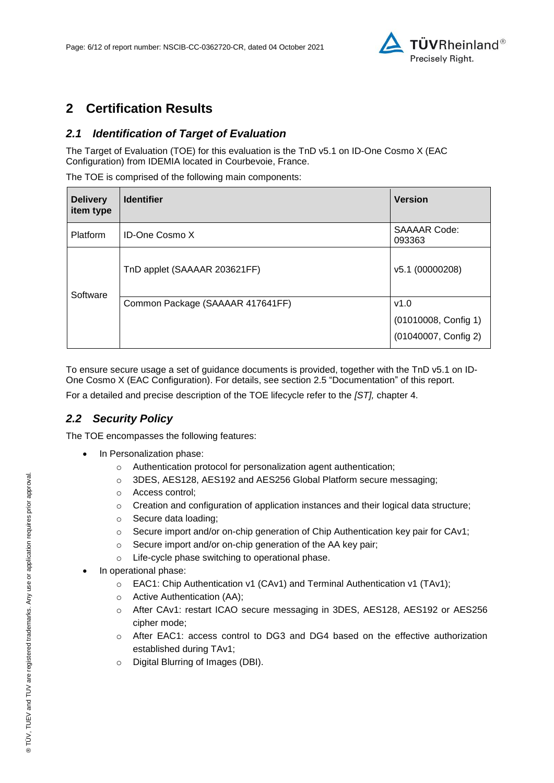

## **2 Certification Results**

### *2.1 Identification of Target of Evaluation*

The Target of Evaluation (TOE) for this evaluation is the [TnD v5.1 on ID-One Cosmo X \(EAC](#page-0-3)  [Configuration\)](#page-0-3) from [IDEMIA](#page-0-4) located in [Courbevoie, France.](#page-4-2)

The TOE is comprised of the following main components:

| <b>Delivery</b><br>item type | <b>Identifier</b>                | <b>Version</b>                                       |
|------------------------------|----------------------------------|------------------------------------------------------|
| Platform                     | <b>ID-One Cosmo X</b>            | <b>SAAAAR Code:</b><br>093363                        |
| Software                     | TnD applet (SAAAAR 203621FF)     | v5.1 (00000208)                                      |
|                              | Common Package (SAAAAR 417641FF) | v1.0<br>(01010008, Config 1)<br>(01040007, Config 2) |

To ensure secure usage a set of guidance documents is provided, together with the [TnD v5.1 on ID-](#page-0-3)[One Cosmo X \(EAC Configuration\).](#page-0-3) For details, see section [2.5](#page-7-0) ["Documentation"](#page-7-0) of this report.

For a detailed and precise description of the TOE lifecycle refer to the *[ST],* chapter 4.

## *2.2 Security Policy*

The TOE encompasses the following features:

- In Personalization phase:
	- o Authentication protocol for personalization agent authentication;
	- o 3DES, AES128, AES192 and AES256 Global Platform secure messaging;
	- o Access control;
	- $\circ$  Creation and configuration of application instances and their logical data structure;
	- o Secure data loading;
	- o Secure import and/or on-chip generation of Chip Authentication key pair for CAv1;
	- o Secure import and/or on-chip generation of the AA key pair;
	- o Life-cycle phase switching to operational phase.
- In operational phase:
	- o EAC1: Chip Authentication v1 (CAv1) and Terminal Authentication v1 (TAv1);
	- o Active Authentication (AA);
	- o After CAv1: restart ICAO secure messaging in 3DES, AES128, AES192 or AES256 cipher mode;
	- o After EAC1: access control to DG3 and DG4 based on the effective authorization established during TAv1;
	- o Digital Blurring of Images (DBI).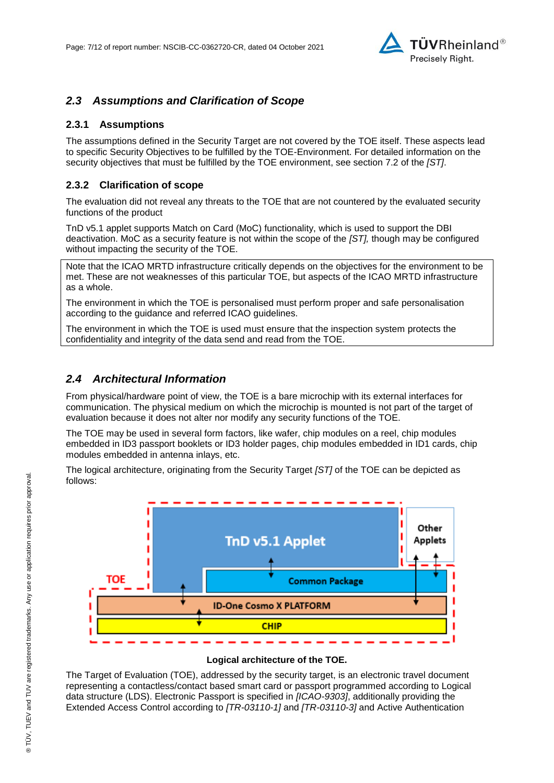

### *2.3 Assumptions and Clarification of Scope*

#### **2.3.1 Assumptions**

The assumptions defined in the Security Target are not covered by the TOE itself. These aspects lead to specific Security Objectives to be fulfilled by the TOE-Environment. For detailed information on the security objectives that must be fulfilled by the TOE environment, see section 7.2 of the *[ST]*.

#### **2.3.2 Clarification of scope**

The evaluation did not reveal any threats to the TOE that are not countered by the evaluated security functions of the product

TnD v5.1 applet supports Match on Card (MoC) functionality, which is used to support the DBI deactivation. MoC as a security feature is not within the scope of the *[ST],* though may be configured without impacting the security of the TOE.

Note that the ICAO MRTD infrastructure critically depends on the objectives for the environment to be met. These are not weaknesses of this particular TOE, but aspects of the ICAO MRTD infrastructure as a whole.

The environment in which the TOE is personalised must perform proper and safe personalisation according to the guidance and referred ICAO guidelines.

The environment in which the TOE is used must ensure that the inspection system protects the confidentiality and integrity of the data send and read from the TOE.

#### *2.4 Architectural Information*

From physical/hardware point of view, the TOE is a bare microchip with its external interfaces for communication. The physical medium on which the microchip is mounted is not part of the target of evaluation because it does not alter nor modify any security functions of the TOE.

The TOE may be used in several form factors, like wafer, chip modules on a reel, chip modules embedded in ID3 passport booklets or ID3 holder pages, chip modules embedded in ID1 cards, chip modules embedded in antenna inlays, etc.

The logical architecture, originating from the Security Target *[ST]* of the TOE can be depicted as follows:



#### **Logical architecture of the TOE.**

The Target of Evaluation (TOE), addressed by the security target, is an electronic travel document representing a contactless/contact based smart card or passport programmed according to Logical data structure (LDS). Electronic Passport is specified in *[ICAO-9303]*, additionally providing the Extended Access Control according to *[TR-03110-1]* and *[TR-03110-3]* and Active Authentication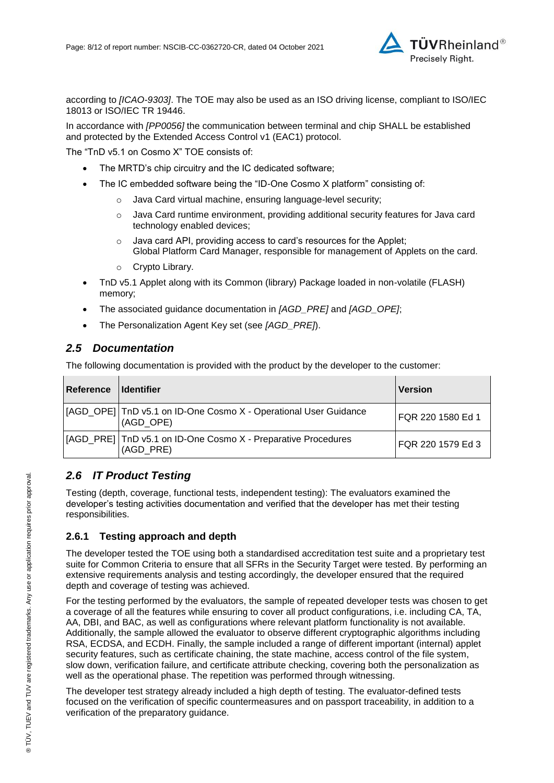

according to *[ICAO-9303]*. The TOE may also be used as an ISO driving license, compliant to ISO/IEC 18013 or ISO/IEC TR 19446.

In accordance with *[PP0056]* the communication between terminal and chip SHALL be established and protected by the Extended Access Control v1 (EAC1) protocol.

The "TnD v5.1 on Cosmo X" TOE consists of:

- The MRTD's chip circuitry and the IC dedicated software;
- The IC embedded software being the "ID-One Cosmo X platform" consisting of:
	- o Java Card virtual machine, ensuring language-level security;
	- o Java Card runtime environment, providing additional security features for Java card technology enabled devices;
	- o Java card API, providing access to card's resources for the Applet; Global Platform Card Manager, responsible for management of Applets on the card.
	- o Crypto Library.
- TnD v5.1 Applet along with its Common (library) Package loaded in non-volatile (FLASH) memory;
- The associated guidance documentation in *[AGD\_PRE]* and *[AGD\_OPE]*;
- The Personalization Agent Key set (see *[AGD\_PRE]*).

### <span id="page-7-0"></span>*2.5 Documentation*

The following documentation is provided with the product by the developer to the customer:

| Reference | <b>I</b> dentifier                                                             | <b>Version</b>    |
|-----------|--------------------------------------------------------------------------------|-------------------|
|           | [[AGD_OPE] TnD v5.1 on ID-One Cosmo X - Operational User Guidance<br>(AGD OPE) | FQR 220 1580 Ed 1 |
|           | [AGD_PRE] TnD v5.1 on ID-One Cosmo X - Preparative Procedures<br>(AGD PRE)     | FQR 220 1579 Ed 3 |

## *2.6 IT Product Testing*

Testing (depth, coverage, functional tests, independent testing): The evaluators examined the developer's testing activities documentation and verified that the developer has met their testing responsibilities.

#### **2.6.1 Testing approach and depth**

The developer tested the TOE using both a standardised accreditation test suite and a proprietary test suite for Common Criteria to ensure that all SFRs in the Security Target were tested. By performing an extensive requirements analysis and testing accordingly, the developer ensured that the required depth and coverage of testing was achieved.

For the testing performed by the evaluators, the sample of repeated developer tests was chosen to get a coverage of all the features while ensuring to cover all product configurations, i.e. including CA, TA, AA, DBI, and BAC, as well as configurations where relevant platform functionality is not available. Additionally, the sample allowed the evaluator to observe different cryptographic algorithms including RSA, ECDSA, and ECDH. Finally, the sample included a range of different important (internal) applet security features, such as certificate chaining, the state machine, access control of the file system, slow down, verification failure, and certificate attribute checking, covering both the personalization as well as the operational phase. The repetition was performed through witnessing.

The developer test strategy already included a high depth of testing. The evaluator-defined tests focused on the verification of specific countermeasures and on passport traceability, in addition to a verification of the preparatory guidance.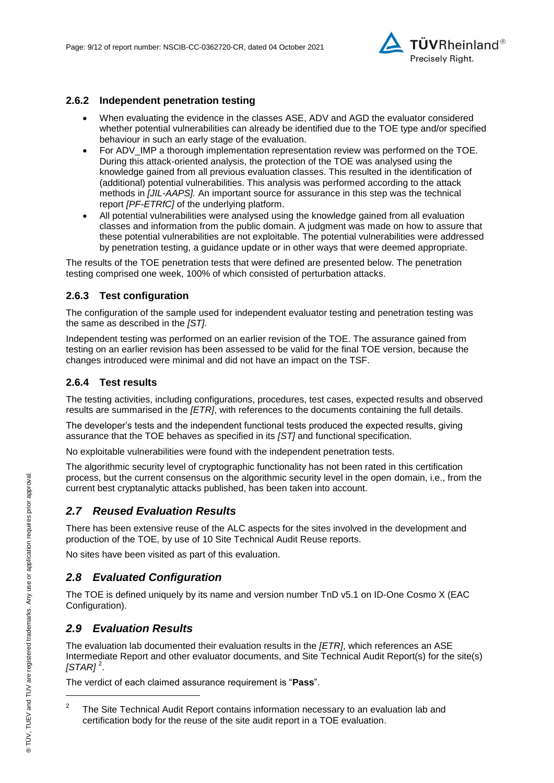

#### **2.6.2 Independent penetration testing**

- When evaluating the evidence in the classes ASE, ADV and AGD the evaluator considered whether potential vulnerabilities can already be identified due to the TOE type and/or specified behaviour in such an early stage of the evaluation.
- For ADV\_IMP a thorough implementation representation review was performed on the TOE. During this attack-oriented analysis, the protection of the TOE was analysed using the knowledge gained from all previous evaluation classes. This resulted in the identification of (additional) potential vulnerabilities. This analysis was performed according to the attack methods in *[JIL-AAPS].* An important source for assurance in this step was the technical report *[PF-ETRfC]* of the underlying platform.
- All potential vulnerabilities were analysed using the knowledge gained from all evaluation classes and information from the public domain. A judgment was made on how to assure that these potential vulnerabilities are not exploitable. The potential vulnerabilities were addressed by penetration testing, a guidance update or in other ways that were deemed appropriate.

The results of the TOE penetration tests that were defined are presented below. The penetration testing comprised one week, 100% of which consisted of perturbation attacks.

#### **2.6.3 Test configuration**

The configuration of the sample used for independent evaluator testing and penetration testing was the same as described in the *[ST]*.

Independent testing was performed on an earlier revision of the TOE. The assurance gained from testing on an earlier revision has been assessed to be valid for the final TOE version, because the changes introduced were minimal and did not have an impact on the TSF.

#### **2.6.4 Test results**

The testing activities, including configurations, procedures, test cases, expected results and observed results are summarised in the *[ETR]*, with references to the documents containing the full details.

The developer's tests and the independent functional tests produced the expected results, giving assurance that the TOE behaves as specified in its *[ST]* and functional specification.

No exploitable vulnerabilities were found with the independent penetration tests.

The algorithmic security level of cryptographic functionality has not been rated in this certification process, but the current consensus on the algorithmic security level in the open domain, i.e., from the current best cryptanalytic attacks published, has been taken into account.

#### *2.7 Reused Evaluation Results*

There has been extensive reuse of the ALC aspects for the sites involved in the development and production of the TOE, by use of 10 Site Technical Audit Reuse reports.

No sites have been visited as part of this evaluation.

### *2.8 Evaluated Configuration*

The TOE is defined uniquely by its name and version number [TnD v5.1 on ID-One Cosmo X \(EAC](#page-0-3)  [Configuration\).](#page-0-3)

### *2.9 Evaluation Results*

The evaluation lab documented their evaluation results in the *[ETR]*, which references an ASE Intermediate Report and other evaluator documents, and Site Technical Audit Report(s) for the site(s) *[STAR]* <sup>2</sup> .

The verdict of each claimed assurance requirement is "**Pass**".

l

<sup>2</sup> The Site Technical Audit Report contains information necessary to an evaluation lab and certification body for the reuse of the site audit report in a TOE evaluation.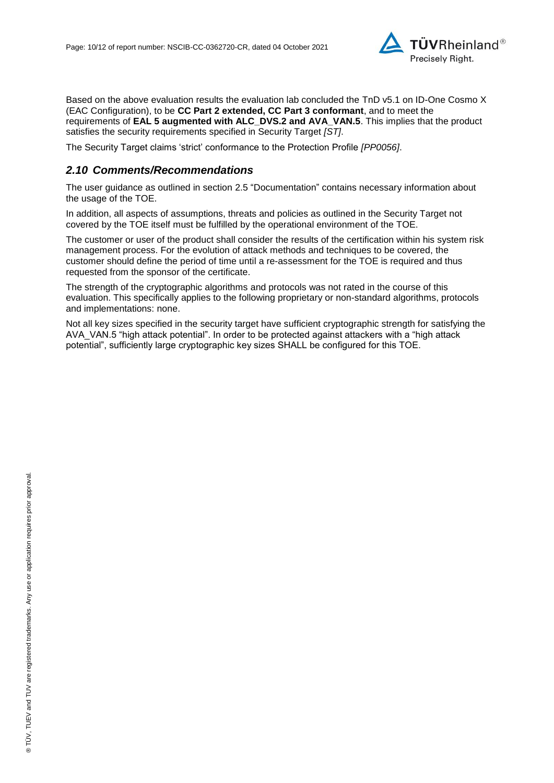

Based on the above evaluation results the evaluation lab concluded the [TnD v5.1 on ID-One Cosmo X](#page-0-3)  [\(EAC Configuration\),](#page-0-3) to be **CC Part 2 extended, CC Part 3 conformant**, and to meet the requirements of **EAL [5](#page-4-0) augmented with ALC\_DVS.2 and AVA\_VAN.5**. This implies that the product satisfies the security requirements specified in Security Target *[ST]*.

The Security Target claims 'strict' conformance to the Protection Profile *[PP0056]*.

#### *2.10 Comments/Recommendations*

The user guidance as outlined in section [2.5](#page-7-0) ["Documentation"](#page-7-0) contains necessary information about the usage of the TOE.

In addition, all aspects of assumptions, threats and policies as outlined in the Security Target not covered by the TOE itself must be fulfilled by the operational environment of the TOE.

The customer or user of the product shall consider the results of the certification within his system risk management process. For the evolution of attack methods and techniques to be covered, the customer should define the period of time until a re-assessment for the TOE is required and thus requested from the sponsor of the certificate.

The strength of the cryptographic algorithms and protocols was not rated in the course of this evaluation. This specifically applies to the following proprietary or non-standard algorithms, protocols and implementations: none.

Not all key sizes specified in the security target have sufficient cryptographic strength for satisfying the AVA\_VAN.5 "high attack potential". In order to be protected against attackers with a "high attack potential", sufficiently large cryptographic key sizes SHALL be configured for this TOE.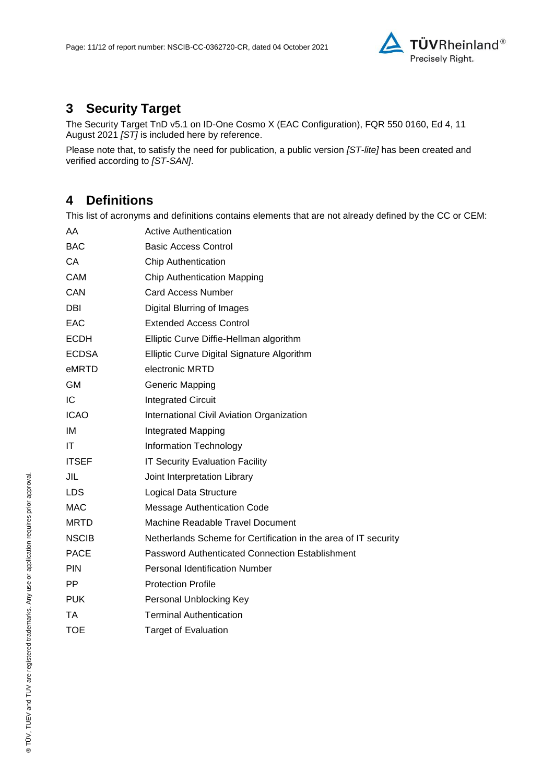

# **3 Security Target**

The [Security Target TnD v5.1 on ID-One Cosmo X \(EAC Configuration\), FQR 550 0160, Ed 4, 11](#page-11-0)  [August 2021](#page-11-0) *[ST]* is included here by reference.

Please note that, to satisfy the need for publication, a public version *[ST-lite]* has been created and verified according to *[ST-SAN]*.

## **4 Definitions**

This list of acronyms and definitions contains elements that are not already defined by the CC or CEM:

| AA           | <b>Active Authentication</b>                                    |
|--------------|-----------------------------------------------------------------|
| <b>BAC</b>   | <b>Basic Access Control</b>                                     |
| СA           | <b>Chip Authentication</b>                                      |
| <b>CAM</b>   | <b>Chip Authentication Mapping</b>                              |
| CAN          | <b>Card Access Number</b>                                       |
| DBI          | <b>Digital Blurring of Images</b>                               |
| EAC          | <b>Extended Access Control</b>                                  |
| <b>ECDH</b>  | Elliptic Curve Diffie-Hellman algorithm                         |
| <b>ECDSA</b> | Elliptic Curve Digital Signature Algorithm                      |
| eMRTD        | electronic MRTD                                                 |
| <b>GM</b>    | <b>Generic Mapping</b>                                          |
| IC           | <b>Integrated Circuit</b>                                       |
| <b>ICAO</b>  | International Civil Aviation Organization                       |
| IM           | Integrated Mapping                                              |
| ΙT           | Information Technology                                          |
| <b>ITSEF</b> | <b>IT Security Evaluation Facility</b>                          |
| JIL          | Joint Interpretation Library                                    |
| <b>LDS</b>   | Logical Data Structure                                          |
| <b>MAC</b>   | <b>Message Authentication Code</b>                              |
| <b>MRTD</b>  | Machine Readable Travel Document                                |
| <b>NSCIB</b> | Netherlands Scheme for Certification in the area of IT security |
| <b>PACE</b>  | Password Authenticated Connection Establishment                 |
| <b>PIN</b>   | <b>Personal Identification Number</b>                           |
| <b>PP</b>    | <b>Protection Profile</b>                                       |
| <b>PUK</b>   | Personal Unblocking Key                                         |
| ТA           | <b>Terminal Authentication</b>                                  |
| <b>TOE</b>   | <b>Target of Evaluation</b>                                     |